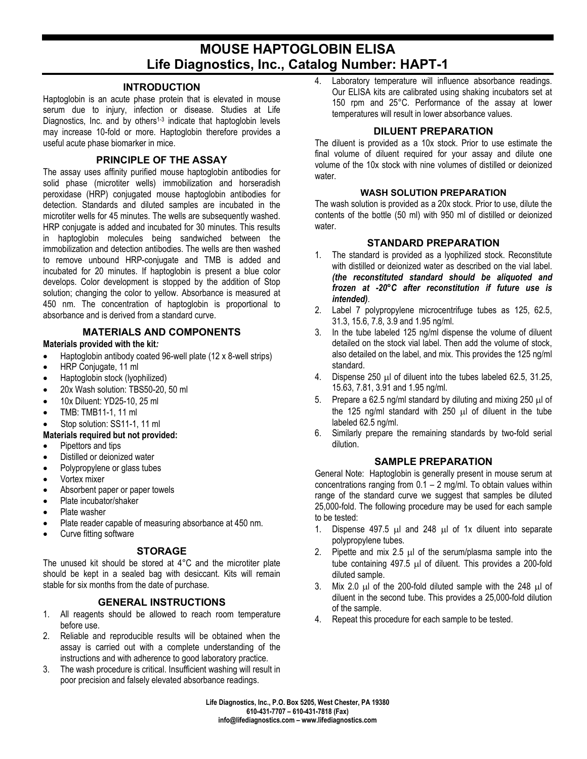# **MOUSE HAPTOGLOBIN ELISA Life Diagnostics, Inc., Catalog Number: HAPT-1**

# **INTRODUCTION**

Haptoglobin is an acute phase protein that is elevated in mouse serum due to injury, infection or disease. Studies at Life Diagnostics, Inc. and by others<sup>1-3</sup> indicate that haptoglobin levels may increase 10-fold or more. Haptoglobin therefore provides a useful acute phase biomarker in mice.

# **PRINCIPLE OF THE ASSAY**

The assay uses affinity purified mouse haptoglobin antibodies for solid phase (microtiter wells) immobilization and horseradish peroxidase (HRP) conjugated mouse haptoglobin antibodies for detection. Standards and diluted samples are incubated in the microtiter wells for 45 minutes. The wells are subsequently washed. HRP conjugate is added and incubated for 30 minutes. This results in haptoglobin molecules being sandwiched between the immobilization and detection antibodies. The wells are then washed to remove unbound HRP-conjugate and TMB is added and incubated for 20 minutes. If haptoglobin is present a blue color develops. Color development is stopped by the addition of Stop solution; changing the color to yellow. Absorbance is measured at 450 nm. The concentration of haptoglobin is proportional to absorbance and is derived from a standard curve.

# **MATERIALS AND COMPONENTS**

#### **Materials provided with the kit***:*

- Haptoglobin antibody coated 96-well plate (12 x 8-well strips)
- HRP Conjugate, 11 ml
- Haptoglobin stock (lyophilized)
- 20x Wash solution: TBS50-20, 50 ml
- 10x Diluent: YD25-10, 25 ml
- TMB: TMB11-1, 11 ml
- Stop solution: SS11-1, 11 ml

## **Materials required but not provided:**

- Pipettors and tips
- Distilled or deionized water
- Polypropylene or glass tubes
- Vortex mixer
- Absorbent paper or paper towels
- Plate incubator/shaker
- Plate washer
- Plate reader capable of measuring absorbance at 450 nm.
- Curve fitting software

## **STORAGE**

The unused kit should be stored at 4°C and the microtiter plate should be kept in a sealed bag with desiccant. Kits will remain stable for six months from the date of purchase.

## **GENERAL INSTRUCTIONS**

- 1. All reagents should be allowed to reach room temperature before use.
- 2. Reliable and reproducible results will be obtained when the assay is carried out with a complete understanding of the instructions and with adherence to good laboratory practice.
- 3. The wash procedure is critical. Insufficient washing will result in poor precision and falsely elevated absorbance readings.

4. Laboratory temperature will influence absorbance readings. Our ELISA kits are calibrated using shaking incubators set at 150 rpm and 25°C. Performance of the assay at lower temperatures will result in lower absorbance values.

# **DILUENT PREPARATION**

The diluent is provided as a 10x stock. Prior to use estimate the final volume of diluent required for your assay and dilute one volume of the 10x stock with nine volumes of distilled or deionized water.

#### **WASH SOLUTION PREPARATION**

The wash solution is provided as a 20x stock. Prior to use, dilute the contents of the bottle (50 ml) with 950 ml of distilled or deionized water.

## **STANDARD PREPARATION**

- 1. The standard is provided as a lyophilized stock. Reconstitute with distilled or deionized water as described on the vial label. *(the reconstituted standard should be aliquoted and frozen at -20°C after reconstitution if future use is intended)*.
- 2. Label 7 polypropylene microcentrifuge tubes as 125, 62.5, 31.3, 15.6, 7.8, 3.9 and 1.95 ng/ml.
- 3. In the tube labeled 125 ng/ml dispense the volume of diluent detailed on the stock vial label. Then add the volume of stock, also detailed on the label, and mix. This provides the 125 ng/ml standard.
- 4. Dispense 250 µl of diluent into the tubes labeled 62.5, 31.25, 15.63, 7.81, 3.91 and 1.95 ng/ml.
- 5. Prepare a 62.5 ng/ml standard by diluting and mixing 250 µl of the 125 ng/ml standard with 250 µl of diluent in the tube labeled 62.5 ng/ml.
- 6. Similarly prepare the remaining standards by two-fold serial dilution.

## **SAMPLE PREPARATION**

General Note: Haptoglobin is generally present in mouse serum at concentrations ranging from  $0.1 - 2$  mg/ml. To obtain values within range of the standard curve we suggest that samples be diluted 25,000-fold. The following procedure may be used for each sample to be tested:

- 1. Dispense 497.5 µl and 248 µl of 1x diluent into separate polypropylene tubes.
- 2. Pipette and mix 2.5  $\mu$ l of the serum/plasma sample into the tube containing 497.5 µl of diluent. This provides a 200-fold diluted sample.
- 3. Mix 2.0 µl of the 200-fold diluted sample with the 248 µl of diluent in the second tube. This provides a 25,000-fold dilution of the sample.
- 4. Repeat this procedure for each sample to be tested.

**Life Diagnostics, Inc., P.O. Box 5205, West Chester, PA 19380 610-431-7707 – 610-431-7818 (Fax) info@lifediagnostics.com – www.lifediagnostics.com**